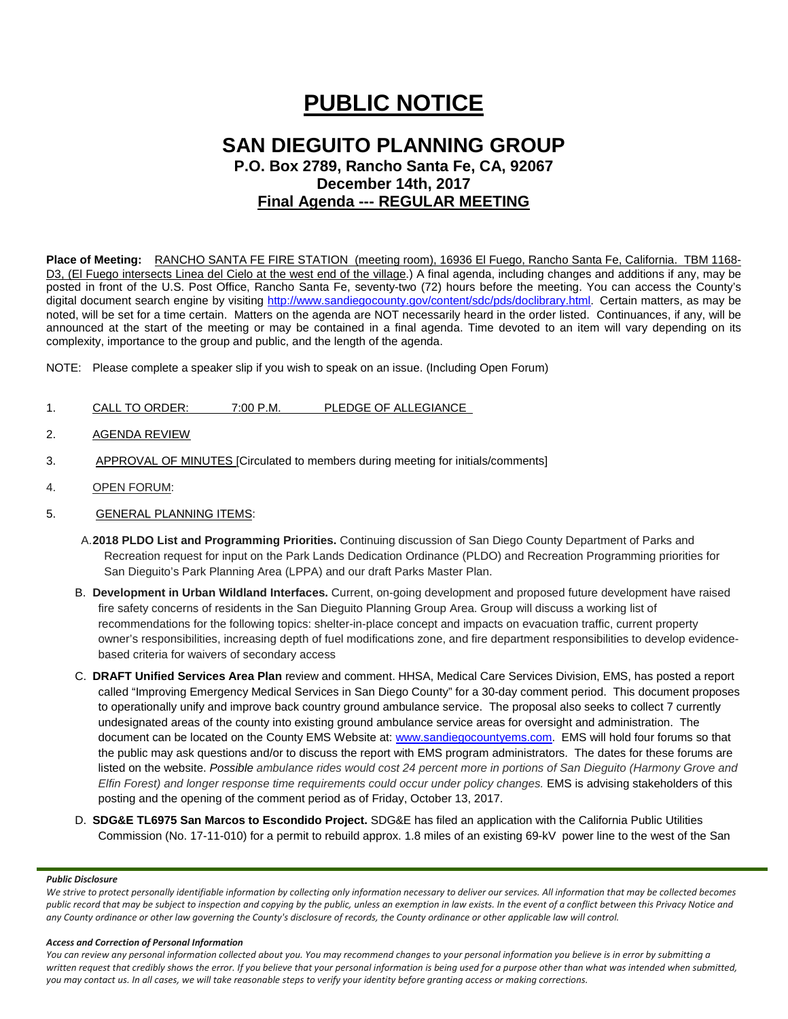# **PUBLIC NOTICE**

# **SAN DIEGUITO PLANNING GROUP P.O. Box 2789, Rancho Santa Fe, CA, 92067 December 14th, 2017 Final Agenda --- REGULAR MEETING**

**Place of Meeting:** RANCHO SANTA FE FIRE STATION (meeting room), 16936 El Fuego, Rancho Santa Fe, California. TBM 1168- D3, (El Fuego intersects Linea del Cielo at the west end of the village.) A final agenda, including changes and additions if any, may be posted in front of the U.S. Post Office, Rancho Santa Fe, seventy-two (72) hours before the meeting. You can access the County's digital document search engine by visiting<http://www.sandiegocounty.gov/content/sdc/pds/doclibrary.html>. Certain matters, as may be noted, will be set for a time certain. Matters on the agenda are NOT necessarily heard in the order listed. Continuances, if any, will be announced at the start of the meeting or may be contained in a final agenda. Time devoted to an item will vary depending on its complexity, importance to the group and public, and the length of the agenda.

NOTE: Please complete a speaker slip if you wish to speak on an issue. (Including Open Forum)

- 1. CALL TO ORDER: 7:00 P.M. PLEDGE OF ALLEGIANCE
- 2. AGENDA REVIEW
- 3. APPROVAL OF MINUTES [Circulated to members during meeting for initials/comments]
- 4. OPEN FORUM:
- 5. GENERAL PLANNING ITEMS:
	- A.**2018 PLDO List and Programming Priorities.** Continuing discussion of San Diego County Department of Parks and Recreation request for input on the Park Lands Dedication Ordinance (PLDO) and Recreation Programming priorities for San Dieguito's Park Planning Area (LPPA) and our draft Parks Master Plan.
	- B. **Development in Urban Wildland Interfaces.** Current, on-going development and proposed future development have raised fire safety concerns of residents in the San Dieguito Planning Group Area. Group will discuss a working list of recommendations for the following topics: shelter-in-place concept and impacts on evacuation traffic, current property owner's responsibilities, increasing depth of fuel modifications zone, and fire department responsibilities to develop evidencebased criteria for waivers of secondary access
	- C. **DRAFT Unified Services Area Plan** review and comment. HHSA, Medical Care Services Division, EMS, has posted a report called "Improving Emergency Medical Services in San Diego County" for a 30-day comment period. This document proposes to operationally unify and improve back country ground ambulance service. The proposal also seeks to collect 7 currently undesignated areas of the county into existing ground ambulance service areas for oversight and administration. The document can be located on the County EMS Website at: [www.sandiegocountyems.com.](http://www.sandiegocountyems.com/) EMS will hold four forums so that the public may ask questions and/or to discuss the report with EMS program administrators. The dates for these forums are listed on the website. *Possible ambulance rides would cost 24 percent more in portions of San Dieguito (Harmony Grove and Elfin Forest) and longer response time requirements could occur under policy changes.* EMS is advising stakeholders of this posting and the opening of the comment period as of Friday, October 13, 2017.
	- D. **SDG&E TL6975 San Marcos to Escondido Project.** SDG&E has filed an application with the California Public Utilities Commission (No. 17-11-010) for a permit to rebuild approx. 1.8 miles of an existing 69-kV power line to the west of the San

#### *Public Disclosure*

We strive to protect personally identifiable information by collecting only information necessary to deliver our services. All information that may be collected becomes *public record that may be subject to inspection and copying by the public, unless an exemption in law exists. In the event of a conflict between this Privacy Notice and any County ordinance or other law governing the County's disclosure of records, the County ordinance or other applicable law will control.*

#### *Access and Correction of Personal Information*

*You can review any personal information collected about you. You may recommend changes to your personal information you believe is in error by submitting a written request that credibly shows the error. If you believe that your personal information is being used for a purpose other than what was intended when submitted, you may contact us. In all cases, we will take reasonable steps to verify your identity before granting access or making corrections.*